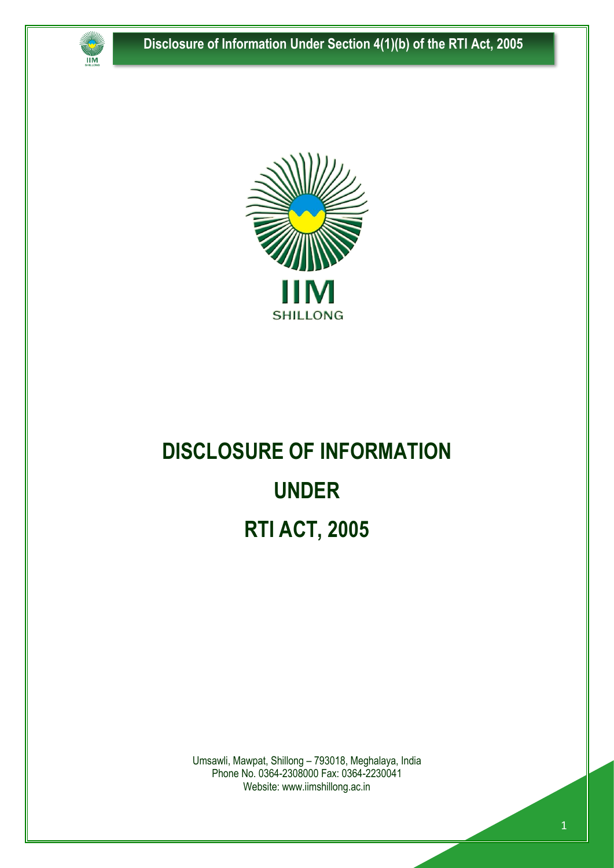



# **DISCLOSURE OF INFORMATION UNDER RTI ACT, 2005**

Umsawli, Mawpat, Shillong – 793018, Meghalaya, India Phone No. 0364-2308000 Fax: 0364-2230041 Website: www.iimshillong.ac.in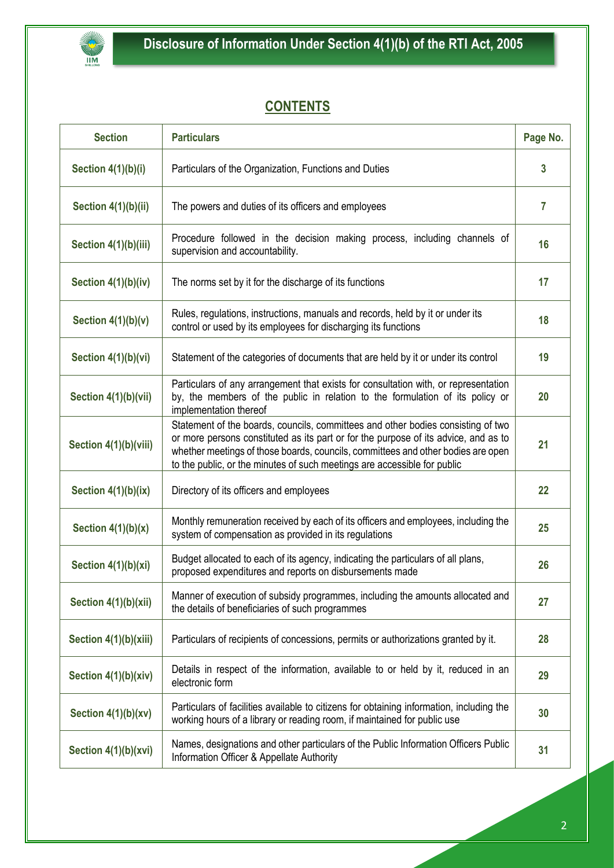

# **CONTENTS**

| <b>Section</b>        | <b>Particulars</b>                                                                                                                                                                                                                                                                                                                      | Page No. |
|-----------------------|-----------------------------------------------------------------------------------------------------------------------------------------------------------------------------------------------------------------------------------------------------------------------------------------------------------------------------------------|----------|
| Section $4(1)(b)(i)$  | Particulars of the Organization, Functions and Duties                                                                                                                                                                                                                                                                                   | 3        |
| Section 4(1)(b)(ii)   | The powers and duties of its officers and employees                                                                                                                                                                                                                                                                                     | 7        |
| Section 4(1)(b)(iii)  | Procedure followed in the decision making process, including channels of<br>supervision and accountability.                                                                                                                                                                                                                             | 16       |
| Section 4(1)(b)(iv)   | The norms set by it for the discharge of its functions                                                                                                                                                                                                                                                                                  | 17       |
| Section $4(1)(b)(v)$  | Rules, regulations, instructions, manuals and records, held by it or under its<br>control or used by its employees for discharging its functions                                                                                                                                                                                        | 18       |
| Section 4(1)(b)(vi)   | Statement of the categories of documents that are held by it or under its control                                                                                                                                                                                                                                                       | 19       |
| Section 4(1)(b)(vii)  | Particulars of any arrangement that exists for consultation with, or representation<br>by, the members of the public in relation to the formulation of its policy or<br>implementation thereof                                                                                                                                          | 20       |
| Section 4(1)(b)(viii) | Statement of the boards, councils, committees and other bodies consisting of two<br>or more persons constituted as its part or for the purpose of its advice, and as to<br>whether meetings of those boards, councils, committees and other bodies are open<br>to the public, or the minutes of such meetings are accessible for public | 21       |
| Section $4(1)(b)(ix)$ | Directory of its officers and employees                                                                                                                                                                                                                                                                                                 | 22       |
| Section $4(1)(b)(x)$  | Monthly remuneration received by each of its officers and employees, including the<br>system of compensation as provided in its regulations                                                                                                                                                                                             | 25       |
| Section 4(1)(b)(xi)   | Budget allocated to each of its agency, indicating the particulars of all plans,<br>proposed expenditures and reports on disbursements made                                                                                                                                                                                             | 26       |
| Section 4(1)(b)(xii)  | Manner of execution of subsidy programmes, including the amounts allocated and<br>the details of beneficiaries of such programmes                                                                                                                                                                                                       | 27       |
| Section 4(1)(b)(xiii) | Particulars of recipients of concessions, permits or authorizations granted by it.                                                                                                                                                                                                                                                      | 28       |
| Section 4(1)(b)(xiv)  | Details in respect of the information, available to or held by it, reduced in an<br>electronic form                                                                                                                                                                                                                                     | 29       |
| Section 4(1)(b)(xv)   | Particulars of facilities available to citizens for obtaining information, including the<br>working hours of a library or reading room, if maintained for public use                                                                                                                                                                    | 30       |
| Section 4(1)(b)(xvi)  | Names, designations and other particulars of the Public Information Officers Public<br>Information Officer & Appellate Authority                                                                                                                                                                                                        | 31       |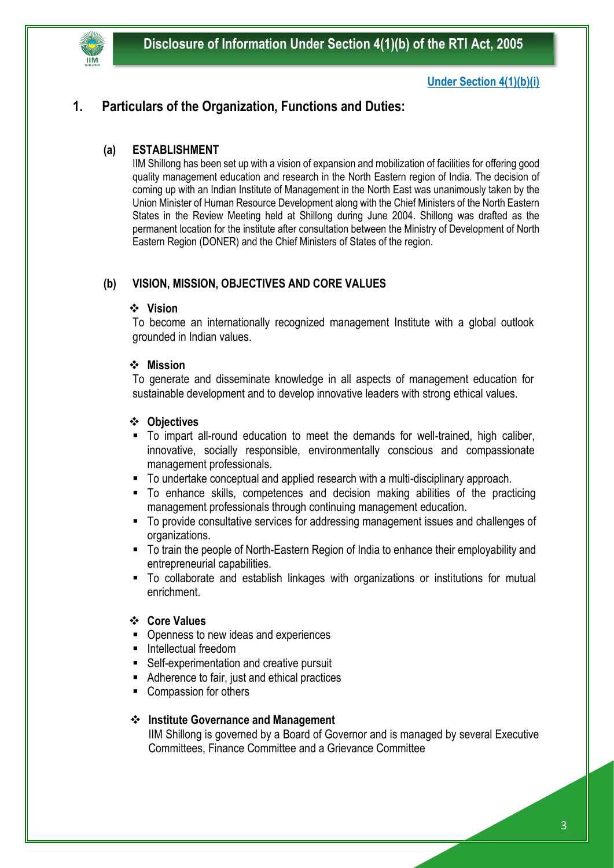

# **1. Particulars of the Organization, Functions and Duties:**

#### **(a) ESTABLISHMENT**

IIM Shillong has been set up with a vision of expansion and mobilization of facilities for offering good quality management education and research in the North Eastern region of India. The decision of coming up with an Indian Institute of Management in the North East was unanimously taken by the Union Minister of Human Resource Development along with the Chief Ministers of the North Eastern States in the Review Meeting held at Shillong during June 2004. Shillong was drafted as the permanent location for the institute after consultation between the Ministry of Development of North Eastern Region (DONER) and the Chief Ministers of States of the region.

#### **(b) VISION, MISSION, OBJECTIVES AND CORE VALUES**

#### ❖ **Vision**

To become an internationally recognized management Institute with a global outlook grounded in Indian values.

#### ❖ **Mission**

To generate and disseminate knowledge in all aspects of management education for sustainable development and to develop innovative leaders with strong ethical values.

#### ❖ **Objectives**

- To impart all-round education to meet the demands for well-trained, high caliber, innovative, socially responsible, environmentally conscious and compassionate management professionals.
- To undertake conceptual and applied research with a multi-disciplinary approach.
- To enhance skills, competences and decision making abilities of the practicing management professionals through continuing management education.
- To provide consultative services for addressing management issues and challenges of organizations.
- To train the people of North-Eastern Region of India to enhance their employability and entrepreneurial capabilities.
- To collaborate and establish linkages with organizations or institutions for mutual enrichment.

#### ❖ **Core Values**

- Openness to new ideas and experiences
- **E** Intellectual freedom
- Self-experimentation and creative pursuit
- Adherence to fair, just and ethical practices
- Compassion for others

#### ❖ **Institute Governance and Management**

IIM Shillong is governed by a Board of Governor and is managed by several Executive Committees, Finance Committee and a Grievance Committee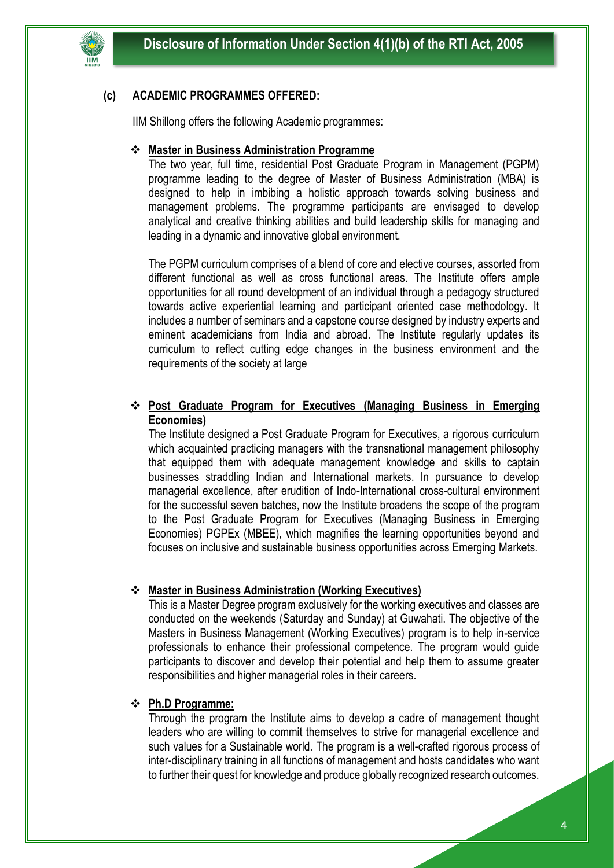

#### **(c) ACADEMIC PROGRAMMES OFFERED:**

IIM Shillong offers the following Academic programmes:

#### ❖ **Master in Business Administration Programme**

The two year, full time, residential Post Graduate Program in Management (PGPM) programme leading to the degree of Master of Business Administration (MBA) is designed to help in imbibing a holistic approach towards solving business and management problems. The programme participants are envisaged to develop analytical and creative thinking abilities and build leadership skills for managing and leading in a dynamic and innovative global environment.

The PGPM curriculum comprises of a blend of core and elective courses, assorted from different functional as well as cross functional areas. The Institute offers ample opportunities for all round development of an individual through a pedagogy structured towards active experiential learning and participant oriented case methodology. It includes a number of seminars and a capstone course designed by industry experts and eminent academicians from India and abroad. The Institute regularly updates its curriculum to reflect cutting edge changes in the business environment and the requirements of the society at large

#### ❖ **Post Graduate Program for Executives (Managing Business in Emerging Economies)**

The Institute designed a Post Graduate Program for Executives, a rigorous curriculum which acquainted practicing managers with the transnational management philosophy that equipped them with adequate management knowledge and skills to captain businesses straddling Indian and International markets. In pursuance to develop managerial excellence, after erudition of Indo-International cross-cultural environment for the successful seven batches, now the Institute broadens the scope of the program to the Post Graduate Program for Executives (Managing Business in Emerging Economies) PGPEx (MBEE), which magnifies the learning opportunities beyond and focuses on inclusive and sustainable business opportunities across Emerging Markets.

#### ❖ **Master in Business Administration (Working Executives)**

This is a Master Degree program exclusively for the working executives and classes are conducted on the weekends (Saturday and Sunday) at Guwahati. The objective of the Masters in Business Management (Working Executives) program is to help in-service professionals to enhance their professional competence. The program would guide participants to discover and develop their potential and help them to assume greater responsibilities and higher managerial roles in their careers.

#### ❖ **Ph.D Programme:**

Through the program the Institute aims to develop a cadre of management thought leaders who are willing to commit themselves to strive for managerial excellence and such values for a Sustainable world. The program is a well-crafted rigorous process of inter-disciplinary training in all functions of management and hosts candidates who want to further their quest for knowledge and produce globally recognized research outcomes.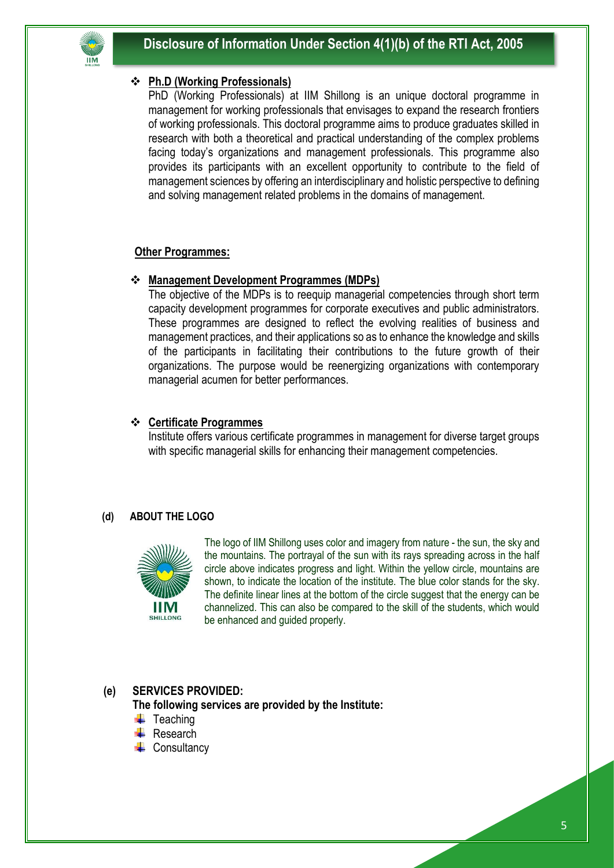

#### ❖ **Ph.D (Working Professionals)**

PhD (Working Professionals) at IIM Shillong is an unique doctoral programme in management for working professionals that envisages to expand the research frontiers of working professionals. This doctoral programme aims to produce graduates skilled in research with both a theoretical and practical understanding of the complex problems facing today's organizations and management professionals. This programme also provides its participants with an excellent opportunity to contribute to the field of management sciences by offering an interdisciplinary and holistic perspective to defining and solving management related problems in the domains of management.

#### **Other Programmes:**

#### ❖ **Management Development Programmes (MDPs)**

The objective of the MDPs is to reequip managerial competencies through short term capacity development programmes for corporate executives and public administrators. These programmes are designed to reflect the evolving realities of business and management practices, and their applications so as to enhance the knowledge and skills of the participants in facilitating their contributions to the future growth of their organizations. The purpose would be reenergizing organizations with contemporary managerial acumen for better performances.

#### ❖ **Certificate Programmes**

Institute offers various certificate programmes in management for diverse target groups with specific managerial skills for enhancing their management competencies.

#### **(d) ABOUT THE LOGO**



The logo of IIM Shillong uses color and imagery from nature - the sun, the sky and the mountains. The portrayal of the sun with its rays spreading across in the half circle above indicates progress and light. Within the yellow circle, mountains are shown, to indicate the location of the institute. The blue color stands for the sky. The definite linear lines at the bottom of the circle suggest that the energy can be channelized. This can also be compared to the skill of the students, which would be enhanced and guided properly.

#### **(e) SERVICES PROVIDED:**

**The following services are provided by the Institute:**

- $\leftarrow$  Teaching
- **E** Research
- $\leftarrow$  Consultancy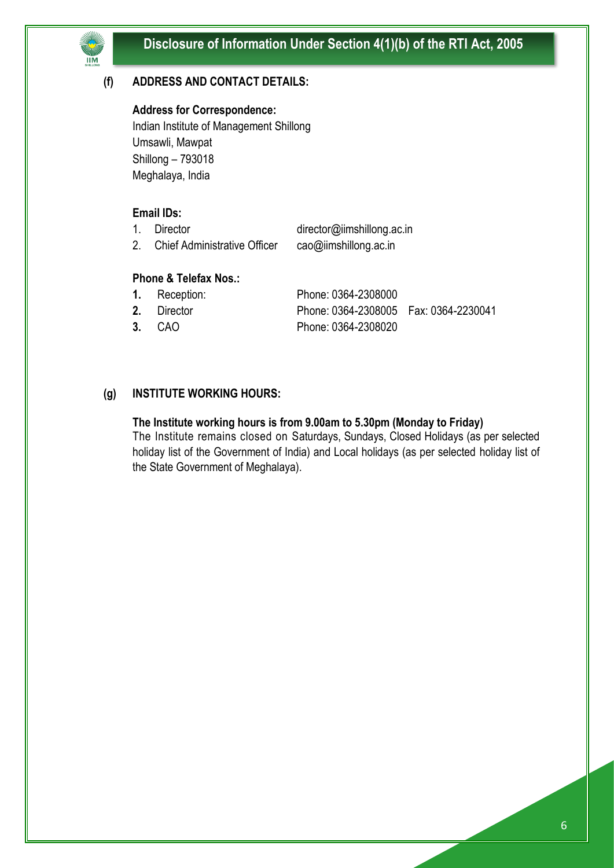

#### **(f) ADDRESS AND CONTACT DETAILS:**

#### **Address for Correspondence:**

Indian Institute of Management Shillong Umsawli, Mawpat Shillong – 793018 Meghalaya, India

#### **Email IDs:**

**IIM** 

| Director                            | director@iimshillong.ac.in |
|-------------------------------------|----------------------------|
| <b>Chief Administrative Officer</b> | cao@iimshillong.ac.in      |

### **Phone & Telefax Nos.:**

| 1. Reception: | Phone: 0364-2308000                      |  |
|---------------|------------------------------------------|--|
| 2. Director   | Phone: 0364-2308005    Fax: 0364-2230041 |  |

**3.** CAO Phone: 0364-2308020

#### **(g) INSTITUTE WORKING HOURS:**

#### **The Institute working hours is from 9.00am to 5.30pm (Monday to Friday)**

The Institute remains closed on Saturdays, Sundays, Closed Holidays (as per selected holiday list of the Government of India) and Local holidays (as per selected holiday list of the State Government of Meghalaya).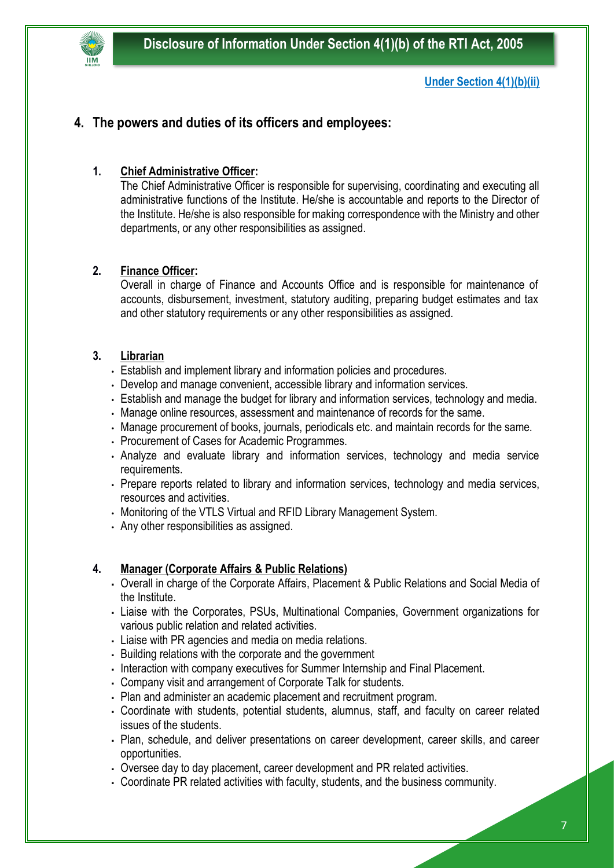

# **4. The powers and duties of its officers and employees:**

#### **1. Chief Administrative Officer:**

The Chief Administrative Officer is responsible for supervising, coordinating and executing all administrative functions of the Institute. He/she is accountable and reports to the Director of the Institute. He/she is also responsible for making correspondence with the Ministry and other departments, or any other responsibilities as assigned.

#### **2. Finance Officer:**

Overall in charge of Finance and Accounts Office and is responsible for maintenance of accounts, disbursement, investment, statutory auditing, preparing budget estimates and tax and other statutory requirements or any other responsibilities as assigned.

#### **3. Librarian**

- Establish and implement library and information policies and procedures.
- Develop and manage convenient, accessible library and information services.
- Establish and manage the budget for library and information services, technology and media.
- Manage online resources, assessment and maintenance of records for the same.
- Manage procurement of books, journals, periodicals etc. and maintain records for the same.
- Procurement of Cases for Academic Programmes.
- Analyze and evaluate library and information services, technology and media service requirements.
- Prepare reports related to library and information services, technology and media services, resources and activities.
- Monitoring of the VTLS Virtual and RFID Library Management System.
- Any other responsibilities as assigned.

#### **4. Manager (Corporate Affairs & Public Relations)**

- Overall in charge of the Corporate Affairs, Placement & Public Relations and Social Media of the Institute.
- Liaise with the Corporates, PSUs, Multinational Companies, Government organizations for various public relation and related activities.
- Liaise with PR agencies and media on media relations.
- Building relations with the corporate and the government
- Interaction with company executives for Summer Internship and Final Placement.
- Company visit and arrangement of Corporate Talk for students.
- Plan and administer an academic placement and recruitment program.
- Coordinate with students, potential students, alumnus, staff, and faculty on career related issues of the students.
- Plan, schedule, and deliver presentations on career development, career skills, and career opportunities.
- Oversee day to day placement, career development and PR related activities.
- Coordinate PR related activities with faculty, students, and the business community.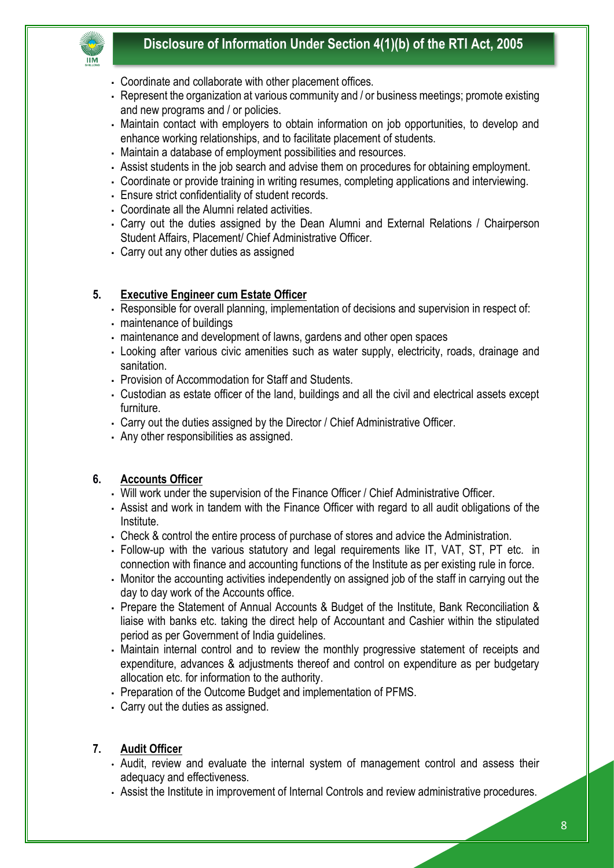

- Coordinate and collaborate with other placement offices.
- Represent the organization at various community and / or business meetings; promote existing and new programs and / or policies.
- Maintain contact with employers to obtain information on job opportunities, to develop and enhance working relationships, and to facilitate placement of students.
- Maintain a database of employment possibilities and resources.
- Assist students in the job search and advise them on procedures for obtaining employment.
- Coordinate or provide training in writing resumes, completing applications and interviewing.
- Ensure strict confidentiality of student records.
- Coordinate all the Alumni related activities.
- Carry out the duties assigned by the Dean Alumni and External Relations / Chairperson Student Affairs, Placement/ Chief Administrative Officer.
- Carry out any other duties as assigned

#### **5. Executive Engineer cum Estate Officer**

- Responsible for overall planning, implementation of decisions and supervision in respect of:
- maintenance of buildings
- maintenance and development of lawns, gardens and other open spaces
- Looking after various civic amenities such as water supply, electricity, roads, drainage and sanitation.
- Provision of Accommodation for Staff and Students.
- Custodian as estate officer of the land, buildings and all the civil and electrical assets except furniture.
- Carry out the duties assigned by the Director / Chief Administrative Officer.
- Any other responsibilities as assigned.

#### **6. Accounts Officer**

- Will work under the supervision of the Finance Officer / Chief Administrative Officer.
- Assist and work in tandem with the Finance Officer with regard to all audit obligations of the Institute.
- Check & control the entire process of purchase of stores and advice the Administration.
- Follow-up with the various statutory and legal requirements like IT, VAT, ST, PT etc. in connection with finance and accounting functions of the Institute as per existing rule in force.
- Monitor the accounting activities independently on assigned job of the staff in carrying out the day to day work of the Accounts office.
- Prepare the Statement of Annual Accounts & Budget of the Institute, Bank Reconciliation & liaise with banks etc. taking the direct help of Accountant and Cashier within the stipulated period as per Government of India guidelines.
- Maintain internal control and to review the monthly progressive statement of receipts and expenditure, advances & adjustments thereof and control on expenditure as per budgetary allocation etc. for information to the authority.
- Preparation of the Outcome Budget and implementation of PFMS.
- Carry out the duties as assigned.

#### **7. Audit Officer**

- Audit, review and evaluate the internal system of management control and assess their adequacy and effectiveness.
- Assist the Institute in improvement of Internal Controls and review administrative procedures.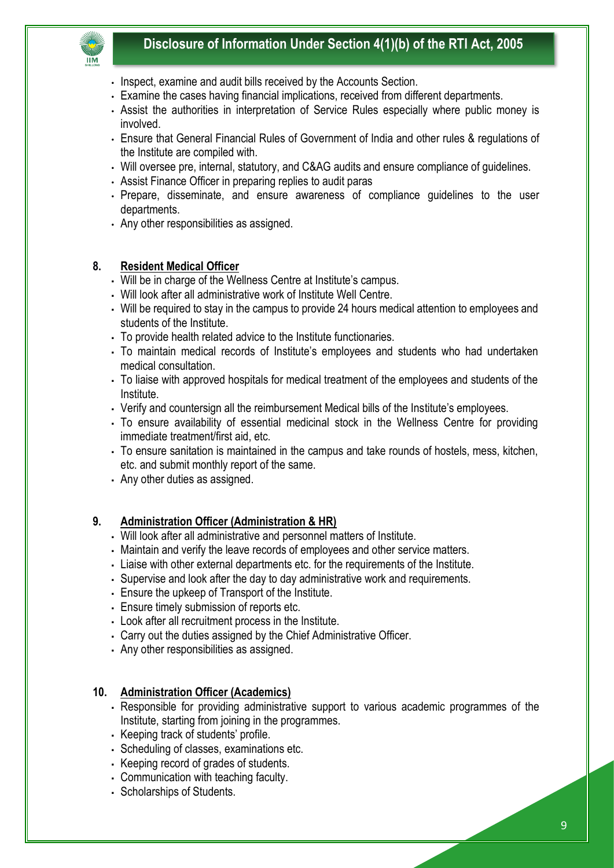

- Inspect, examine and audit bills received by the Accounts Section.
- Examine the cases having financial implications, received from different departments.
- Assist the authorities in interpretation of Service Rules especially where public money is involved.
- Ensure that General Financial Rules of Government of India and other rules & regulations of the Institute are compiled with.
- Will oversee pre, internal, statutory, and C&AG audits and ensure compliance of guidelines.
- Assist Finance Officer in preparing replies to audit paras
- Prepare, disseminate, and ensure awareness of compliance guidelines to the user departments.
- Any other responsibilities as assigned.

#### **8. Resident Medical Officer**

- Will be in charge of the Wellness Centre at Institute's campus.
- Will look after all administrative work of Institute Well Centre.
- Will be required to stay in the campus to provide 24 hours medical attention to employees and students of the Institute.
- To provide health related advice to the Institute functionaries.
- To maintain medical records of Institute's employees and students who had undertaken medical consultation.
- To liaise with approved hospitals for medical treatment of the employees and students of the Institute.
- Verify and countersign all the reimbursement Medical bills of the Institute's employees.
- To ensure availability of essential medicinal stock in the Wellness Centre for providing immediate treatment/first aid, etc.
- To ensure sanitation is maintained in the campus and take rounds of hostels, mess, kitchen, etc. and submit monthly report of the same.
- Any other duties as assigned.

#### **9. Administration Officer (Administration & HR)**

- Will look after all administrative and personnel matters of Institute.
- Maintain and verify the leave records of employees and other service matters.
- Liaise with other external departments etc. for the requirements of the Institute.
- Supervise and look after the day to day administrative work and requirements.
- Ensure the upkeep of Transport of the Institute.
- **Ensure timely submission of reports etc.**
- Look after all recruitment process in the Institute.
- Carry out the duties assigned by the Chief Administrative Officer.
- Any other responsibilities as assigned.

#### **10. Administration Officer (Academics)**

- Responsible for providing administrative support to various academic programmes of the Institute, starting from joining in the programmes.
- Keeping track of students' profile.
- Scheduling of classes, examinations etc.
- Keeping record of grades of students.
- Communication with teaching faculty.
- Scholarships of Students.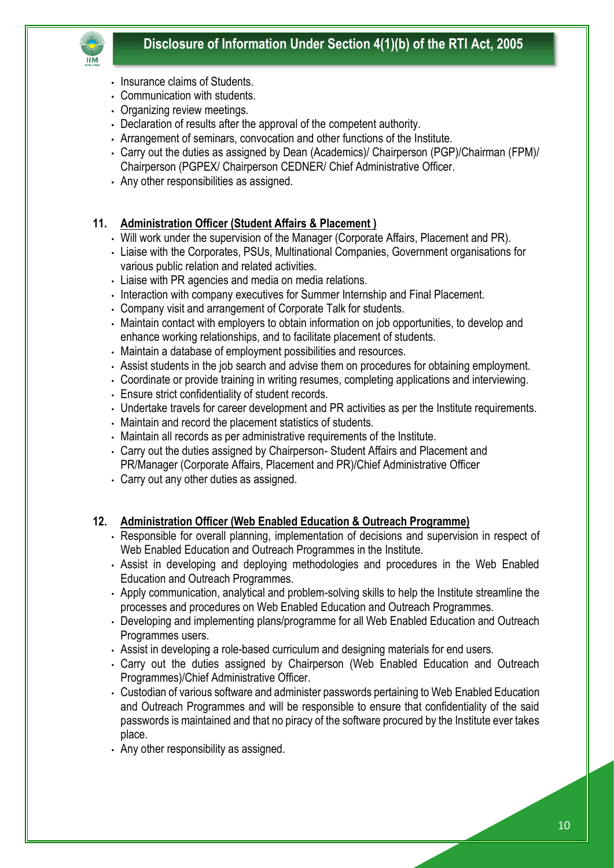

- Insurance claims of Students.
- Communication with students.
- Organizing review meetings.
- Declaration of results after the approval of the competent authority.
- Arrangement of seminars, convocation and other functions of the Institute.
- Carry out the duties as assigned by Dean (Academics)/ Chairperson (PGP)/Chairman (FPM)/ Chairperson (PGPEX/ Chairperson CEDNER/ Chief Administrative Officer.
- Any other responsibilities as assigned.

### **11. Administration Officer (Student Affairs & Placement )**

- Will work under the supervision of the Manager (Corporate Affairs, Placement and PR).
- Liaise with the Corporates, PSUs, Multinational Companies, Government organisations for various public relation and related activities.
- Liaise with PR agencies and media on media relations.
- Interaction with company executives for Summer Internship and Final Placement.
- Company visit and arrangement of Corporate Talk for students.
- Maintain contact with employers to obtain information on job opportunities, to develop and enhance working relationships, and to facilitate placement of students.
- Maintain a database of employment possibilities and resources.
- Assist students in the job search and advise them on procedures for obtaining employment.
- Coordinate or provide training in writing resumes, completing applications and interviewing.
- Ensure strict confidentiality of student records.
- Undertake travels for career development and PR activities as per the Institute requirements.
- Maintain and record the placement statistics of students.
- Maintain all records as per administrative requirements of the Institute.
- Carry out the duties assigned by Chairperson- Student Affairs and Placement and PR/Manager (Corporate Affairs, Placement and PR)/Chief Administrative Officer
- Carry out any other duties as assigned.

#### **12. Administration Officer (Web Enabled Education & Outreach Programme)**

- Responsible for overall planning, implementation of decisions and supervision in respect of Web Enabled Education and Outreach Programmes in the Institute.
- Assist in developing and deploying methodologies and procedures in the Web Enabled Education and Outreach Programmes.
- Apply communication, analytical and problem-solving skills to help the Institute streamline the processes and procedures on Web Enabled Education and Outreach Programmes.
- Developing and implementing plans/programme for all Web Enabled Education and Outreach Programmes users.
- Assist in developing a role-based curriculum and designing materials for end users.
- Carry out the duties assigned by Chairperson (Web Enabled Education and Outreach Programmes)/Chief Administrative Officer.
- Custodian of various software and administer passwords pertaining to Web Enabled Education and Outreach Programmes and will be responsible to ensure that confidentiality of the said passwords is maintained and that no piracy of the software procured by the Institute ever takes place.
- Any other responsibility as assigned.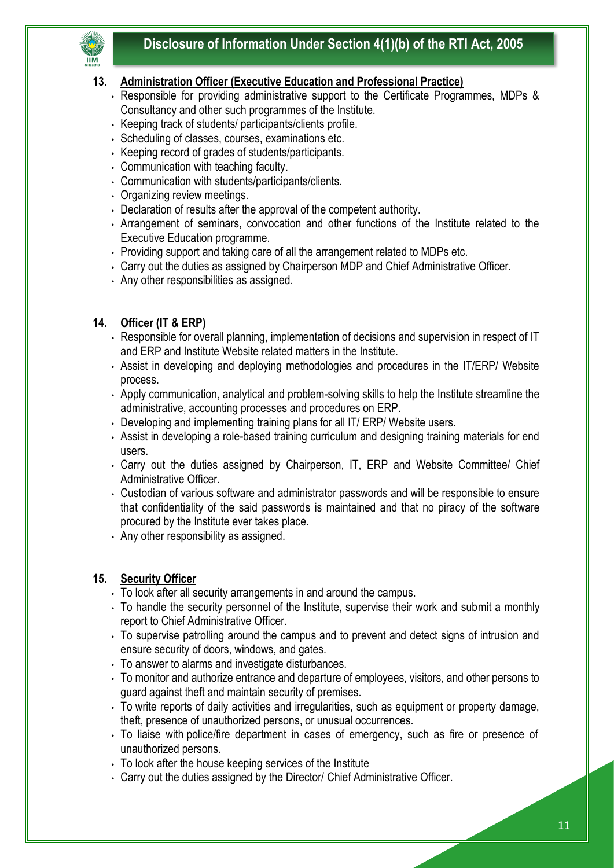



#### **13. Administration Officer (Executive Education and Professional Practice)**

- Responsible for providing administrative support to the Certificate Programmes, MDPs & Consultancy and other such programmes of the Institute.
- Keeping track of students/ participants/clients profile.
- Scheduling of classes, courses, examinations etc.
- Keeping record of grades of students/participants.
- Communication with teaching faculty.
- Communication with students/participants/clients.
- Organizing review meetings.
- Declaration of results after the approval of the competent authority.
- Arrangement of seminars, convocation and other functions of the Institute related to the Executive Education programme.
- Providing support and taking care of all the arrangement related to MDPs etc.
- Carry out the duties as assigned by Chairperson MDP and Chief Administrative Officer.
- Any other responsibilities as assigned.

### **14. Officer (IT & ERP)**

- Responsible for overall planning, implementation of decisions and supervision in respect of IT and ERP and Institute Website related matters in the Institute.
- Assist in developing and deploying methodologies and procedures in the IT/ERP/ Website process.
- Apply communication, analytical and problem-solving skills to help the Institute streamline the administrative, accounting processes and procedures on ERP.
- Developing and implementing training plans for all IT/ ERP/ Website users.
- Assist in developing a role-based training curriculum and designing training materials for end users.
- Carry out the duties assigned by Chairperson, IT, ERP and Website Committee/ Chief Administrative Officer.
- Custodian of various software and administrator passwords and will be responsible to ensure that confidentiality of the said passwords is maintained and that no piracy of the software procured by the Institute ever takes place.
- Any other responsibility as assigned.

#### **15. Security Officer**

- To look after all security arrangements in and around the campus.
- To handle the security personnel of the Institute, supervise their work and submit a monthly report to Chief Administrative Officer.
- To supervise patrolling around the campus and to prevent and detect signs of intrusion and ensure security of doors, windows, and gates.
- To answer to alarms and investigate disturbances.
- To monitor and authorize entrance and departure of employees, visitors, and other persons to guard against theft and maintain security of premises.
- To write reports of daily activities and irregularities, such as equipment or property damage, theft, presence of unauthorized persons, or unusual occurrences.
- To liaise with police/fire department in cases of emergency, such as fire or presence of unauthorized persons.
- To look after the house keeping services of the Institute
- Carry out the duties assigned by the Director/ Chief Administrative Officer.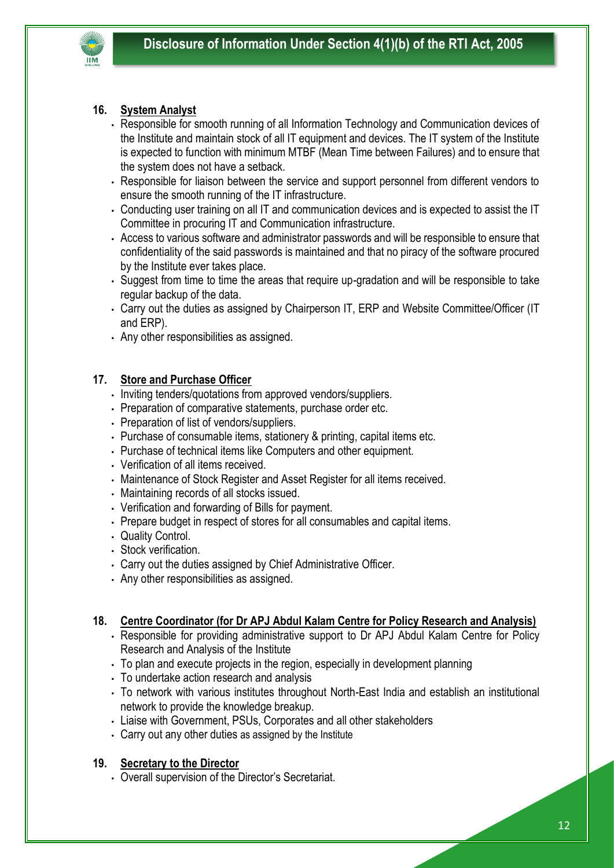

#### **16. System Analyst**

- Responsible for smooth running of all Information Technology and Communication devices of the Institute and maintain stock of all IT equipment and devices. The IT system of the Institute is expected to function with minimum MTBF (Mean Time between Failures) and to ensure that the system does not have a setback.
- Responsible for liaison between the service and support personnel from different vendors to ensure the smooth running of the IT infrastructure.
- Conducting user training on all IT and communication devices and is expected to assist the IT Committee in procuring IT and Communication infrastructure.
- Access to various software and administrator passwords and will be responsible to ensure that confidentiality of the said passwords is maintained and that no piracy of the software procured by the Institute ever takes place.
- Suggest from time to time the areas that require up-gradation and will be responsible to take regular backup of the data.
- Carry out the duties as assigned by Chairperson IT, ERP and Website Committee/Officer (IT and ERP).
- Any other responsibilities as assigned.

#### **17. Store and Purchase Officer**

- Inviting tenders/quotations from approved vendors/suppliers.
- Preparation of comparative statements, purchase order etc.
- Preparation of list of vendors/suppliers.
- Purchase of consumable items, stationery & printing, capital items etc.
- Purchase of technical items like Computers and other equipment.
- Verification of all items received.
- Maintenance of Stock Register and Asset Register for all items received.
- Maintaining records of all stocks issued.
- Verification and forwarding of Bills for payment.
- Prepare budget in respect of stores for all consumables and capital items.
- Quality Control.
- Stock verification.
- Carry out the duties assigned by Chief Administrative Officer.
- Any other responsibilities as assigned.

#### **18. Centre Coordinator (for Dr APJ Abdul Kalam Centre for Policy Research and Analysis)**

- Responsible for providing administrative support to Dr APJ Abdul Kalam Centre for Policy Research and Analysis of the Institute
- To plan and execute projects in the region, especially in development planning
- To undertake action research and analysis
- To network with various institutes throughout North-East India and establish an institutional network to provide the knowledge breakup.
- Liaise with Government, PSUs, Corporates and all other stakeholders
- Carry out any other duties as assigned by the Institute

#### **19. Secretary to the Director**

• Overall supervision of the Director's Secretariat.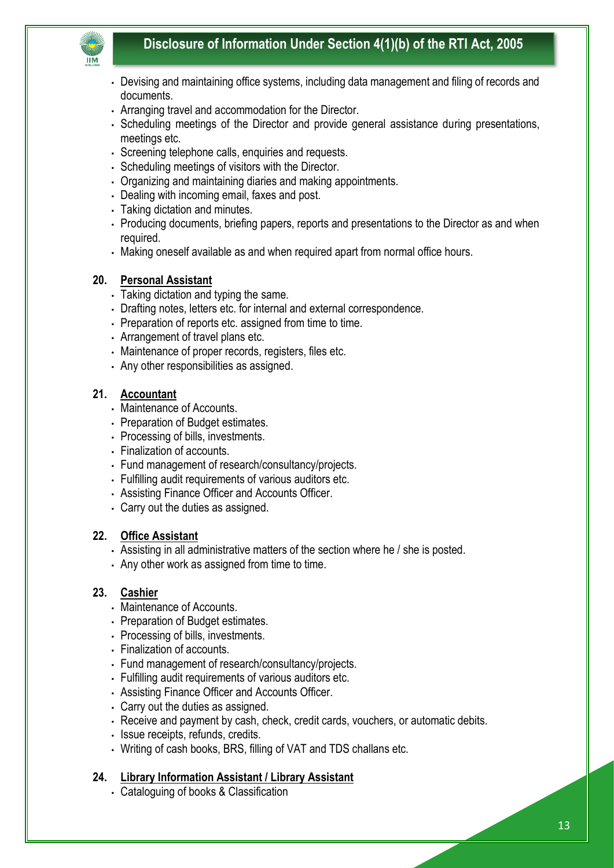

- Devising and maintaining office systems, including data management and filing of records and documents.
- Arranging travel and accommodation for the Director.
- Scheduling meetings of the Director and provide general assistance during presentations, meetings etc.
- Screening telephone calls, enquiries and requests.
- Scheduling meetings of visitors with the Director.
- Organizing and maintaining diaries and making appointments.
- Dealing with incoming email, faxes and post.
- Taking dictation and minutes.
- Producing documents, briefing papers, reports and presentations to the Director as and when required.
- Making oneself available as and when required apart from normal office hours.

#### **20. Personal Assistant**

- Taking dictation and typing the same.
- Drafting notes, letters etc. for internal and external correspondence.
- Preparation of reports etc. assigned from time to time.
- Arrangement of travel plans etc.
- Maintenance of proper records, registers, files etc.
- Any other responsibilities as assigned.

#### **21. Accountant**

- Maintenance of Accounts.
- Preparation of Budget estimates.
- Processing of bills, investments.
- Finalization of accounts.
- Fund management of research/consultancy/projects.
- Fulfilling audit requirements of various auditors etc.
- Assisting Finance Officer and Accounts Officer.
- Carry out the duties as assigned.

#### **22. Office Assistant**

- Assisting in all administrative matters of the section where he / she is posted.
- Any other work as assigned from time to time.

#### **23. Cashier**

- Maintenance of Accounts.
- Preparation of Budget estimates.
- Processing of bills, investments.
- Finalization of accounts.
- Fund management of research/consultancy/projects.
- Fulfilling audit requirements of various auditors etc.
- Assisting Finance Officer and Accounts Officer.
- Carry out the duties as assigned.
- Receive and payment by cash, check, credit cards, vouchers, or automatic debits.
- Issue receipts, refunds, credits.
- Writing of cash books, BRS, filling of VAT and TDS challans etc.

#### **24. Library Information Assistant / Library Assistant**

• Cataloguing of books & Classification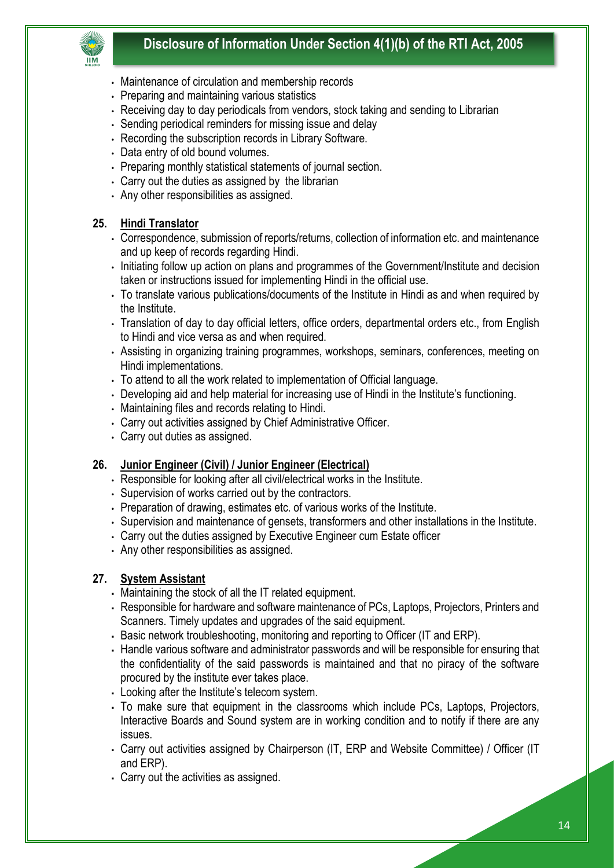



- Maintenance of circulation and membership records
- Preparing and maintaining various statistics
- Receiving day to day periodicals from vendors, stock taking and sending to Librarian
- Sending periodical reminders for missing issue and delay
- Recording the subscription records in Library Software.
- Data entry of old bound volumes.
- Preparing monthly statistical statements of journal section.
- Carry out the duties as assigned by the librarian
- Any other responsibilities as assigned.

#### **25. Hindi Translator**

- Correspondence, submission of reports/returns, collection of information etc. and maintenance and up keep of records regarding Hindi.
- Initiating follow up action on plans and programmes of the Government/Institute and decision taken or instructions issued for implementing Hindi in the official use.
- To translate various publications/documents of the Institute in Hindi as and when required by the Institute.
- Translation of day to day official letters, office orders, departmental orders etc., from English to Hindi and vice versa as and when required.
- Assisting in organizing training programmes, workshops, seminars, conferences, meeting on Hindi implementations.
- To attend to all the work related to implementation of Official language.
- Developing aid and help material for increasing use of Hindi in the Institute's functioning.
- Maintaining files and records relating to Hindi.
- Carry out activities assigned by Chief Administrative Officer.
- Carry out duties as assigned.

#### **26. Junior Engineer (Civil) / Junior Engineer (Electrical)**

- Responsible for looking after all civil/electrical works in the Institute.
- Supervision of works carried out by the contractors.
- Preparation of drawing, estimates etc. of various works of the Institute.
- Supervision and maintenance of gensets, transformers and other installations in the Institute.
- Carry out the duties assigned by Executive Engineer cum Estate officer
- Any other responsibilities as assigned.

#### **27. System Assistant**

- Maintaining the stock of all the IT related equipment.
- Responsible for hardware and software maintenance of PCs, Laptops, Projectors, Printers and Scanners. Timely updates and upgrades of the said equipment.
- Basic network troubleshooting, monitoring and reporting to Officer (IT and ERP).
- Handle various software and administrator passwords and will be responsible for ensuring that the confidentiality of the said passwords is maintained and that no piracy of the software procured by the institute ever takes place.
- Looking after the Institute's telecom system.
- To make sure that equipment in the classrooms which include PCs, Laptops, Projectors, Interactive Boards and Sound system are in working condition and to notify if there are any issues.
- Carry out activities assigned by Chairperson (IT, ERP and Website Committee) / Officer (IT and ERP).
- Carry out the activities as assigned.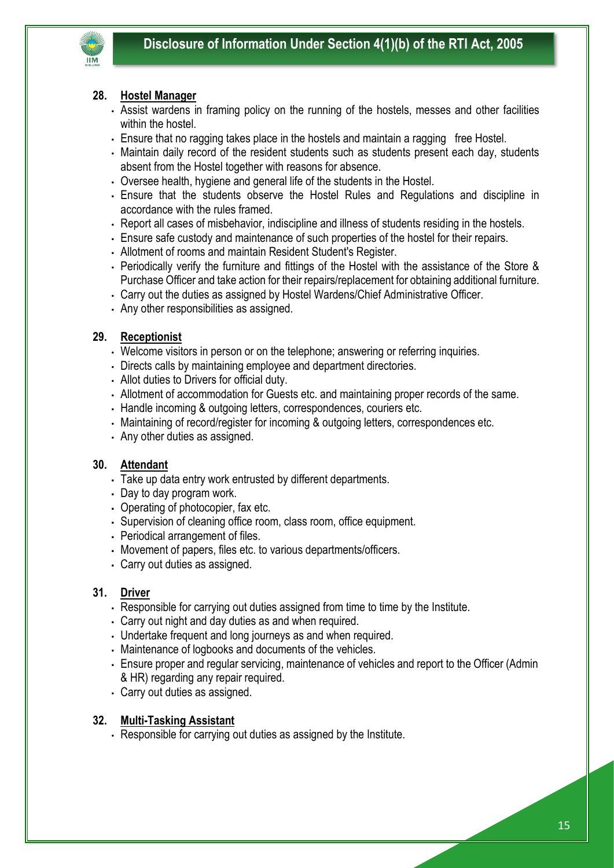

#### **28. Hostel Manager**

- Assist wardens in framing policy on the running of the hostels, messes and other facilities within the hostel.
- Ensure that no ragging takes place in the hostels and maintain a ragging free Hostel.
- Maintain daily record of the resident students such as students present each day, students absent from the Hostel together with reasons for absence.
- Oversee health, hygiene and general life of the students in the Hostel.
- Ensure that the students observe the Hostel Rules and Regulations and discipline in accordance with the rules framed.
- Report all cases of misbehavior, indiscipline and illness of students residing in the hostels.
- Ensure safe custody and maintenance of such properties of the hostel for their repairs.
- Allotment of rooms and maintain Resident Student's Register.
- Periodically verify the furniture and fittings of the Hostel with the assistance of the Store & Purchase Officer and take action for their repairs/replacement for obtaining additional furniture.
- Carry out the duties as assigned by Hostel Wardens/Chief Administrative Officer.
- Any other responsibilities as assigned.

#### **29. Receptionist**

- Welcome visitors in person or on the telephone; answering or referring inquiries.
- Directs calls by maintaining employee and department directories.
- Allot duties to Drivers for official duty.
- Allotment of accommodation for Guests etc. and maintaining proper records of the same.
- Handle incoming & outgoing letters, correspondences, couriers etc.
- Maintaining of record/register for incoming & outgoing letters, correspondences etc.
- Any other duties as assigned.

#### **30. Attendant**

- Take up data entry work entrusted by different departments.
- Day to day program work.
- Operating of photocopier, fax etc.
- Supervision of cleaning office room, class room, office equipment.
- Periodical arrangement of files.
- Movement of papers, files etc. to various departments/officers.
- Carry out duties as assigned.

#### **31. Driver**

- Responsible for carrying out duties assigned from time to time by the Institute.
- Carry out night and day duties as and when required.
- Undertake frequent and long journeys as and when required.
- Maintenance of logbooks and documents of the vehicles.
- Ensure proper and regular servicing, maintenance of vehicles and report to the Officer (Admin & HR) regarding any repair required.
- Carry out duties as assigned.

#### **32. Multi-Tasking Assistant**

• Responsible for carrying out duties as assigned by the Institute.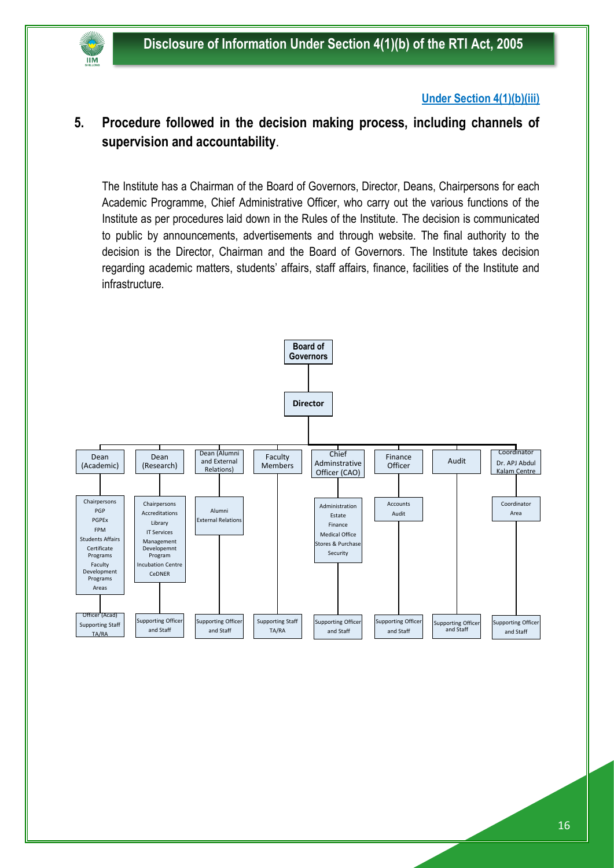

#### **Under Section 4(1)(b)(iii)**

# **5. Procedure followed in the decision making process, including channels of supervision and accountability**.

The Institute has a Chairman of the Board of Governors, Director, Deans, Chairpersons for each Academic Programme, Chief Administrative Officer, who carry out the various functions of the Institute as per procedures laid down in the Rules of the Institute. The decision is communicated to public by announcements, advertisements and through website. The final authority to the decision is the Director, Chairman and the Board of Governors. The Institute takes decision regarding academic matters, students' affairs, staff affairs, finance, facilities of the Institute and infrastructure.

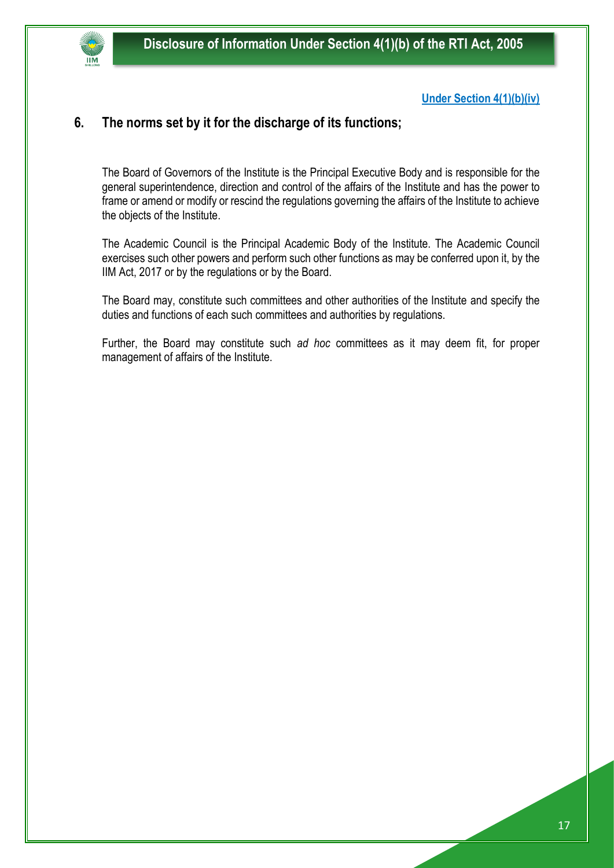

#### **Under Section 4(1)(b)(iv)**

# **6. The norms set by it for the discharge of its functions;**

The Board of Governors of the Institute is the Principal Executive Body and is responsible for the general superintendence, direction and control of the affairs of the Institute and has the power to frame or amend or modify or rescind the regulations governing the affairs of the Institute to achieve the objects of the Institute.

The Academic Council is the Principal Academic Body of the Institute. The Academic Council exercises such other powers and perform such other functions as may be conferred upon it, by the IIM Act, 2017 or by the regulations or by the Board.

The Board may, constitute such committees and other authorities of the Institute and specify the duties and functions of each such committees and authorities by regulations.

Further, the Board may constitute such *ad hoc* committees as it may deem fit, for proper management of affairs of the Institute.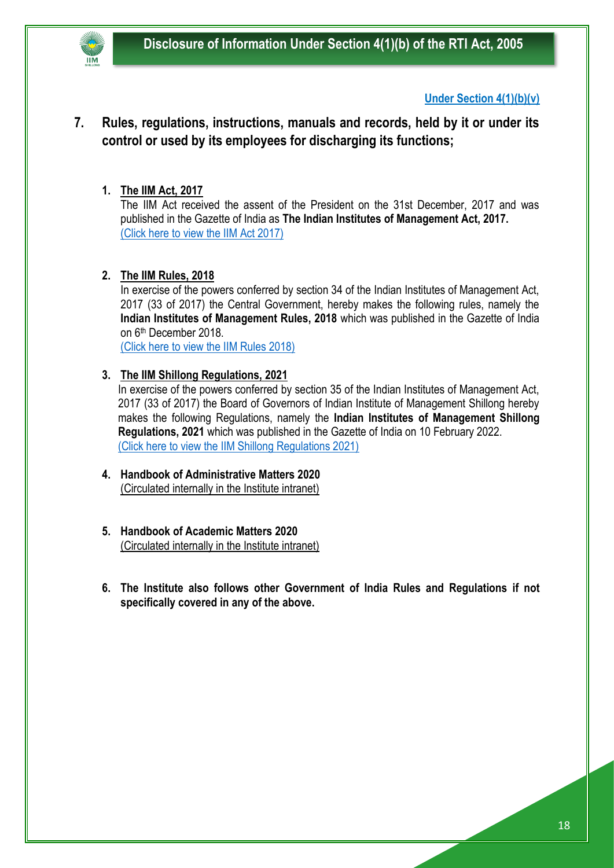

#### **Under Section 4(1)(b)(v)**

**7. Rules, regulations, instructions, manuals and records, held by it or under its control or used by its employees for discharging its functions;**

#### **1. The IIM Act, 2017**

The IIM Act received the assent of the President on the 31st December, 2017 and was published in the Gazette of India as **The Indian Institutes of Management Act, 2017.** [\(Click here to view the IIM Act 2017\)](https://www.iimshillong.ac.in/wp-content/uploads/2022/02/IIM-Act-2017.pdf)

#### **2. The IIM Rules, 2018**

In exercise of the powers conferred by section 34 of the Indian Institutes of Management Act, 2017 (33 of 2017) the Central Government, hereby makes the following rules, namely the **Indian Institutes of Management Rules, 2018** which was published in the Gazette of India on 6th December 2018.

[\(Click here to view the IIM Rules 2018\)](https://www.iimshillong.ac.in/wp-content/uploads/2022/02/IIMS-Rules-2018.pdf)

#### **3. The IIM Shillong Regulations, 2021**

In exercise of the powers conferred by section 35 of the Indian Institutes of Management Act, 2017 (33 of 2017) the Board of Governors of Indian Institute of Management Shillong hereby makes the following Regulations, namely the **Indian Institutes of Management Shillong Regulations, 2021** which was published in the Gazette of India on 10 February 2022. [\(Click here to view the IIM Shillong Regulations 2021\)](https://www.iimshillong.ac.in/wp-content/uploads/2022/02/Gazette-Notification-IIM-Shillong-Regulations.pdf)

- **4. Handbook of Administrative Matters 2020** (Circulated internally in the Institute intranet)
- **5. Handbook of Academic Matters 2020** (Circulated internally in the Institute intranet)
- **6. The Institute also follows other Government of India Rules and Regulations if not specifically covered in any of the above.**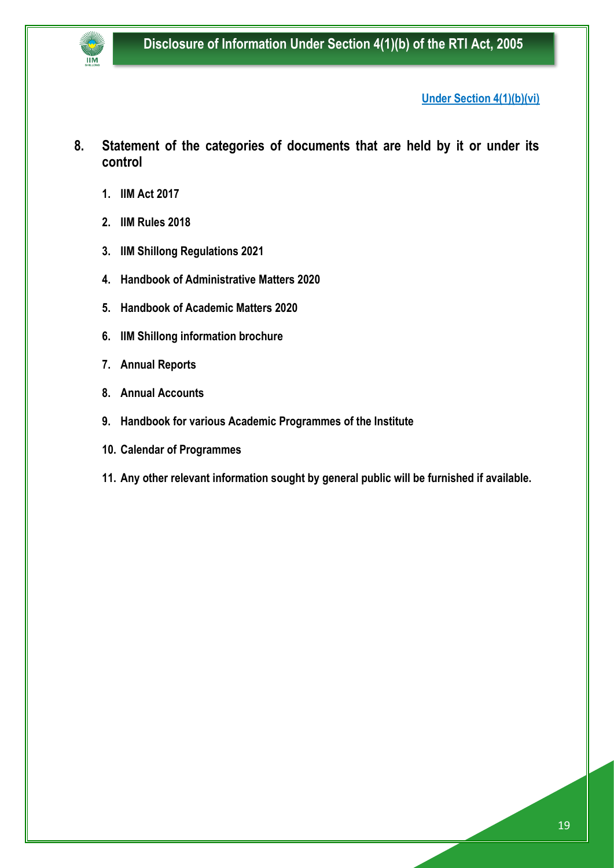

**Under Section 4(1)(b)(vi)**

- **8. Statement of the categories of documents that are held by it or under its control**
	- **1. IIM Act 2017**
	- **2. IIM Rules 2018**
	- **3. IIM Shillong Regulations 2021**
	- **4. Handbook of Administrative Matters 2020**
	- **5. Handbook of Academic Matters 2020**
	- **6. IIM Shillong information brochure**
	- **7. Annual Reports**
	- **8. Annual Accounts**
	- **9. Handbook for various Academic Programmes of the Institute**
	- **10. Calendar of Programmes**
	- **11. Any other relevant information sought by general public will be furnished if available.**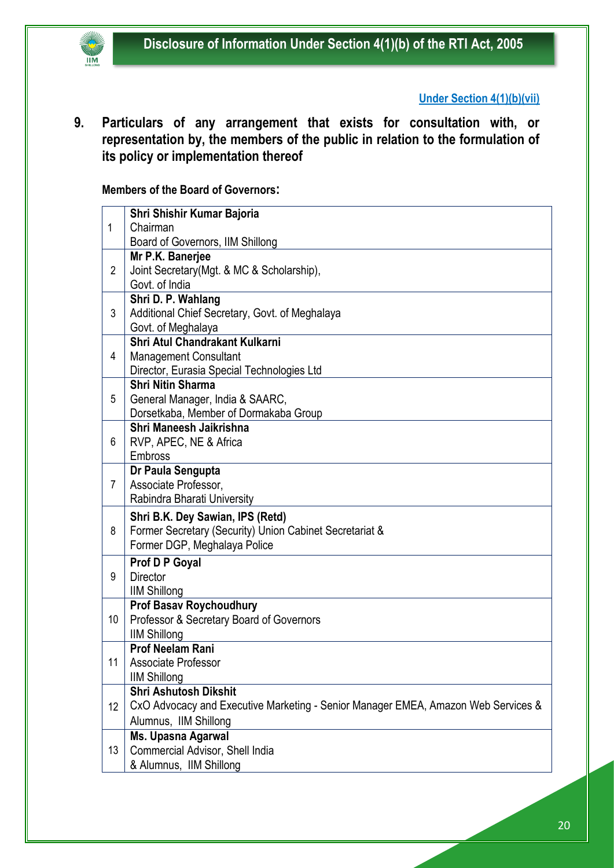

#### **Under Section 4(1)(b)(vii)**

**9. Particulars of any arrangement that exists for consultation with, or representation by, the members of the public in relation to the formulation of its policy or implementation thereof**

## **Members of the Board of Governors:**

|                | Shri Shishir Kumar Bajoria                                                        |
|----------------|-----------------------------------------------------------------------------------|
| $\mathbf{1}$   | Chairman                                                                          |
|                | Board of Governors, IIM Shillong                                                  |
|                | Mr P.K. Banerjee                                                                  |
| $\overline{2}$ | Joint Secretary (Mgt. & MC & Scholarship),                                        |
|                | Govt. of India                                                                    |
|                | Shri D. P. Wahlang                                                                |
| 3              | Additional Chief Secretary, Govt. of Meghalaya                                    |
|                | Govt. of Meghalaya                                                                |
|                | Shri Atul Chandrakant Kulkarni                                                    |
| 4              | <b>Management Consultant</b>                                                      |
|                | Director, Eurasia Special Technologies Ltd                                        |
|                | <b>Shri Nitin Sharma</b>                                                          |
| 5              | General Manager, India & SAARC,                                                   |
|                | Dorsetkaba, Member of Dormakaba Group                                             |
|                | Shri Maneesh Jaikrishna                                                           |
| 6              | RVP, APEC, NE & Africa                                                            |
|                | <b>Embross</b>                                                                    |
|                | Dr Paula Sengupta                                                                 |
| 7              | Associate Professor,<br>Rabindra Bharati University                               |
|                |                                                                                   |
|                | Shri B.K. Dey Sawian, IPS (Retd)                                                  |
| 8              | Former Secretary (Security) Union Cabinet Secretariat &                           |
|                | Former DGP, Meghalaya Police                                                      |
|                | <b>Prof D P Goyal</b>                                                             |
| 9              | <b>Director</b>                                                                   |
|                | <b>IIM Shillong</b>                                                               |
|                | <b>Prof Basav Roychoudhury</b>                                                    |
| 10             | Professor & Secretary Board of Governors                                          |
|                | <b>IIM Shillong</b><br><b>Prof Neelam Rani</b>                                    |
| 11             |                                                                                   |
|                | Associate Professor<br><b>IIM Shillong</b>                                        |
|                | <b>Shri Ashutosh Dikshit</b>                                                      |
| 12             | CxO Advocacy and Executive Marketing - Senior Manager EMEA, Amazon Web Services & |
|                | Alumnus, IIM Shillong                                                             |
|                | Ms. Upasna Agarwal                                                                |
| 13             | Commercial Advisor, Shell India                                                   |
|                | & Alumnus, IIM Shillong                                                           |
|                |                                                                                   |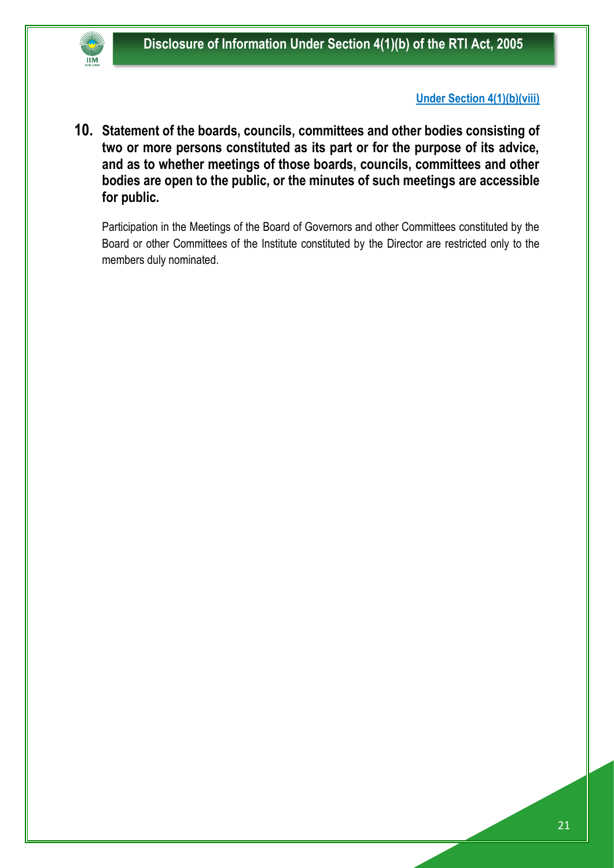

#### **Under Section 4(1)(b)(viii)**

**10. Statement of the boards, councils, committees and other bodies consisting of two or more persons constituted as its part or for the purpose of its advice, and as to whether meetings of those boards, councils, committees and other bodies are open to the public, or the minutes of such meetings are accessible for public.**

Participation in the Meetings of the Board of Governors and other Committees constituted by the Board or other Committees of the Institute constituted by the Director are restricted only to the members duly nominated.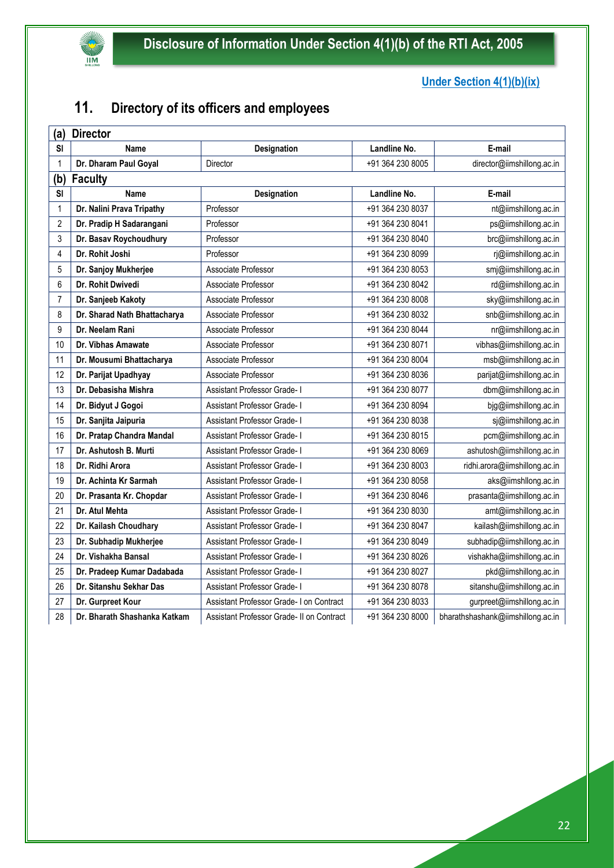

# **Under Section 4(1)(b)(ix)**

# **11. Directory of its officers and employees**

| (a) | <b>Director</b>              |                                           |                  |                                   |  |
|-----|------------------------------|-------------------------------------------|------------------|-----------------------------------|--|
| SI  | Name                         | Designation                               | Landline No.     | E-mail                            |  |
| 1   | Dr. Dharam Paul Goyal        | Director                                  | +91 364 230 8005 | director@iimshillong.ac.in        |  |
| (b) | <b>Faculty</b>               |                                           |                  |                                   |  |
| SI  | Name                         | Designation                               | Landline No.     | E-mail                            |  |
| 1   | Dr. Nalini Prava Tripathy    | Professor                                 | +91 364 230 8037 | nt@iimshillong.ac.in              |  |
| 2   | Dr. Pradip H Sadarangani     | Professor                                 | +91 364 230 8041 | ps@iimshillong.ac.in              |  |
| 3   | Dr. Basav Roychoudhury       | Professor                                 | +91 364 230 8040 | brc@iimshillong.ac.in             |  |
| 4   | Dr. Rohit Joshi              | Professor                                 | +91 364 230 8099 | rj@iimshillong.ac.in              |  |
| 5   | Dr. Sanjoy Mukherjee         | Associate Professor                       | +91 364 230 8053 | smj@iimshillong.ac.in             |  |
| 6   | Dr. Rohit Dwivedi            | Associate Professor                       | +91 364 230 8042 | rd@iimshillong.ac.in              |  |
| 7   | Dr. Sanjeeb Kakoty           | Associate Professor                       | +91 364 230 8008 | sky@iimshillong.ac.in             |  |
| 8   | Dr. Sharad Nath Bhattacharya | Associate Professor                       | +91 364 230 8032 | snb@iimshillong.ac.in             |  |
| 9   | Dr. Neelam Rani              | Associate Professor                       | +91 364 230 8044 | nr@iimshillong.ac.in              |  |
| 10  | Dr. Vibhas Amawate           | Associate Professor                       | +91 364 230 8071 | vibhas@iimshillong.ac.in          |  |
| 11  | Dr. Mousumi Bhattacharya     | Associate Professor                       | +91 364 230 8004 | msb@iimshillong.ac.in             |  |
| 12  | Dr. Parijat Upadhyay         | Associate Professor                       | +91 364 230 8036 | parijat@iimshillong.ac.in         |  |
| 13  | Dr. Debasisha Mishra         | <b>Assistant Professor Grade-I</b>        | +91 364 230 8077 | dbm@iimshillong.ac.in             |  |
| 14  | Dr. Bidyut J Gogoi           | <b>Assistant Professor Grade-I</b>        | +91 364 230 8094 | bjg@iimshillong.ac.in             |  |
| 15  | Dr. Sanjita Jaipuria         | <b>Assistant Professor Grade-I</b>        | +91 364 230 8038 | sj@iimshillong.ac.in              |  |
| 16  | Dr. Pratap Chandra Mandal    | <b>Assistant Professor Grade-I</b>        | +91 364 230 8015 | pcm@iimshillong.ac.in             |  |
| 17  | Dr. Ashutosh B. Murti        | <b>Assistant Professor Grade-I</b>        | +91 364 230 8069 | ashutosh@iimshillong.ac.in        |  |
| 18  | Dr. Ridhi Arora              | Assistant Professor Grade-I               | +91 364 230 8003 | ridhi.arora@iimshillong.ac.in     |  |
| 19  | Dr. Achinta Kr Sarmah        | Assistant Professor Grade-I               | +91 364 230 8058 | aks@iimshllong.ac.in              |  |
| 20  | Dr. Prasanta Kr. Chopdar     | <b>Assistant Professor Grade-I</b>        | +91 364 230 8046 | prasanta@iimshillong.ac.in        |  |
| 21  | Dr. Atul Mehta               | <b>Assistant Professor Grade-I</b>        | +91 364 230 8030 | amt@iimshillong.ac.in             |  |
| 22  | Dr. Kailash Choudhary        | Assistant Professor Grade- I              | +91 364 230 8047 | kailash@iimshillong.ac.in         |  |
| 23  | Dr. Subhadip Mukherjee       | <b>Assistant Professor Grade-I</b>        | +91 364 230 8049 | subhadip@iimshillong.ac.in        |  |
| 24  | Dr. Vishakha Bansal          | <b>Assistant Professor Grade-I</b>        | +91 364 230 8026 | vishakha@iimshillong.ac.in        |  |
| 25  | Dr. Pradeep Kumar Dadabada   | Assistant Professor Grade-I               | +91 364 230 8027 | pkd@iimshillong.ac.in             |  |
| 26  | Dr. Sitanshu Sekhar Das      | Assistant Professor Grade-I               | +91 364 230 8078 | sitanshu@iimshillong.ac.in        |  |
| 27  | Dr. Gurpreet Kour            | Assistant Professor Grade- I on Contract  | +91 364 230 8033 | gurpreet@iimshillong.ac.in        |  |
| 28  | Dr. Bharath Shashanka Katkam | Assistant Professor Grade- II on Contract | +91 364 230 8000 | bharathshashank@iimshillong.ac.in |  |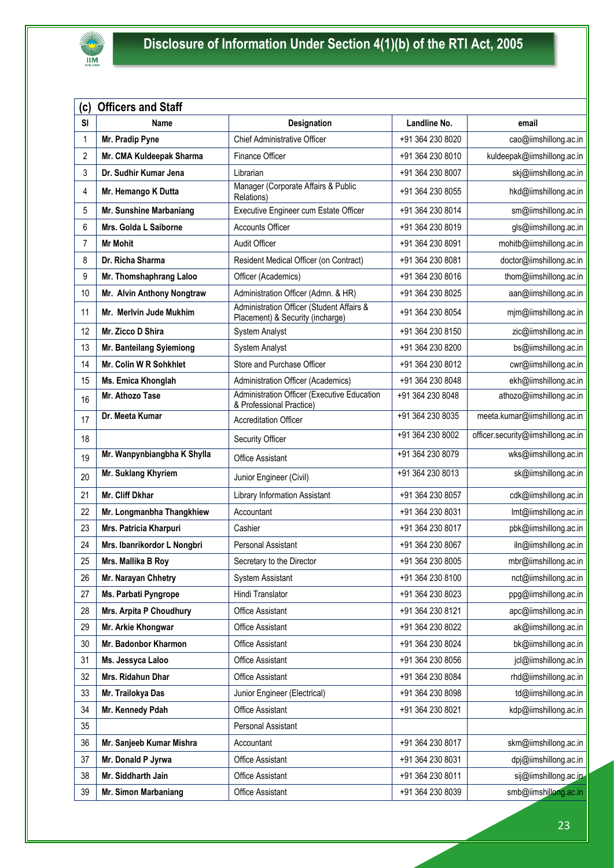

| (c) | <b>Officers and Staff</b>      |                                                                               |                  |                                    |  |
|-----|--------------------------------|-------------------------------------------------------------------------------|------------------|------------------------------------|--|
| SI  | Name                           | Designation                                                                   | Landline No.     | email                              |  |
| 1   | Mr. Pradip Pyne                | <b>Chief Administrative Officer</b>                                           | +91 364 230 8020 | cao@iimshillong.ac.in              |  |
| 2   | Mr. CMA Kuldeepak Sharma       | Finance Officer                                                               | +91 364 230 8010 | kuldeepak@iimshillong.ac.in        |  |
| 3   | Dr. Sudhir Kumar Jena          | Librarian                                                                     | +91 364 230 8007 | skj@iimshillong.ac.in              |  |
| 4   | Mr. Hemango K Dutta            | Manager (Corporate Affairs & Public<br>Relations)                             | +91 364 230 8055 | hkd@iimshillong.ac.in              |  |
| 5   | Mr. Sunshine Marbaniang        | Executive Engineer cum Estate Officer                                         | +91 364 230 8014 | sm@iimshillong.ac.in               |  |
| 6   | Mrs. Golda L Saiborne          | <b>Accounts Officer</b>                                                       | +91 364 230 8019 | gls@iimshillong.ac.in              |  |
| 7   | <b>Mr Mohit</b>                | <b>Audit Officer</b>                                                          | +91 364 230 8091 | mohitb@iimshillong.ac.in           |  |
| 8   | Dr. Richa Sharma               | Resident Medical Officer (on Contract)                                        | +91 364 230 8081 | doctor@iimshillong.ac.in           |  |
| 9   | Mr. Thomshaphrang Laloo        | Officer (Academics)                                                           | +91 364 230 8016 | thom@iimshillong.ac.in             |  |
| 10  | Mr. Alvin Anthony Nongtraw     | Administration Officer (Admn. & HR)                                           | +91 364 230 8025 | aan@iimshillong.ac.in              |  |
| 11  | Mr. Merlvin Jude Mukhim        | Administration Officer (Student Affairs &<br>Placement) & Security (incharge) | +91 364 230 8054 | mjm@iimshillong.ac.in              |  |
| 12  | Mr. Zicco D Shira              | <b>System Analyst</b>                                                         | +91 364 230 8150 | zic@iimshillong.ac.in              |  |
| 13  | Mr. Banteilang Sylemiong       | <b>System Analyst</b>                                                         | +91 364 230 8200 | bs@iimshillong.ac.in               |  |
| 14  | Mr. Colin W R Sohkhlet         | Store and Purchase Officer                                                    | +91 364 230 8012 | cwr@iimshillong.ac.in              |  |
| 15  | Ms. Emica Khonglah             | Administration Officer (Academics)                                            | +91 364 230 8048 | ekh@iimshillong.ac.in              |  |
| 16  | Mr. Athozo Tase                | Administration Officer (Executive Education<br>& Professional Practice)       | +91 364 230 8048 | athozo@iimshillong.ac.in           |  |
| 17  | Dr. Meeta Kumar                | <b>Accreditation Officer</b>                                                  | +91 364 230 8035 | meeta.kumar@iimshillong.ac.in      |  |
| 18  |                                | Security Officer                                                              | +91 364 230 8002 | officer.security@iimshillong.ac.in |  |
| 19  | Mr. Wanpynbiangbha K Shylla    | <b>Office Assistant</b>                                                       | +91 364 230 8079 | wks@iimshillong.ac.in              |  |
| 20  | Mr. Suklang Khyriem            | Junior Engineer (Civil)                                                       | +91 364 230 8013 | sk@iimshillong.ac.in               |  |
| 21  | Mr. Cliff Dkhar                | Library Information Assistant                                                 | +91 364 230 8057 | cdk@iimshillong.ac.in              |  |
| 22  | Mr. Longmanbha Thangkhiew      | Accountant                                                                    | +91 364 230 8031 | Imt@iimshillong.ac.in              |  |
| 23  | Mrs. Patricia Kharpuri         | Cashier                                                                       | +91 364 230 8017 | pbk@iimshillong.ac.in              |  |
| 24  | Mrs. Ibanrikordor L Nongbri    | <b>Personal Assistant</b>                                                     | +91 364 230 8067 | iln@iimshillong.ac.in              |  |
| 25  | Mrs. Mallika B Roy             | Secretary to the Director                                                     | +91 364 230 8005 | mbr@iimshillong.ac.in              |  |
| 26  | Mr. Narayan Chhetry            | System Assistant                                                              | +91 364 230 8100 | nct@iimshillong.ac.in              |  |
| 27  | Ms. Parbati Pyngrope           | Hindi Translator                                                              | +91 364 230 8023 | ppg@iimshillong.ac.in              |  |
| 28  | <b>Mrs. Arpita P Choudhury</b> | Office Assistant                                                              | +91 364 230 8121 | apc@iimshillong.ac.in              |  |
| 29  | Mr. Arkie Khongwar             | <b>Office Assistant</b>                                                       | +91 364 230 8022 | ak@iimshillong.ac.in               |  |
| 30  | Mr. Badonbor Kharmon           | Office Assistant                                                              | +91 364 230 8024 | bk@iimshillong.ac.in               |  |
| 31  | Ms. Jessyca Laloo              | Office Assistant                                                              | +91 364 230 8056 | jcl@iimshillong.ac.in              |  |
| 32  | Mrs. Ridahun Dhar              | Office Assistant                                                              | +91 364 230 8084 | rhd@iimshillong.ac.in              |  |
| 33  | Mr. Trailokya Das              | Junior Engineer (Electrical)                                                  | +91 364 230 8098 | td@iimshillong.ac.in               |  |
| 34  | Mr. Kennedy Pdah               | Office Assistant                                                              | +91 364 230 8021 | kdp@iimshillong.ac.in              |  |
| 35  |                                | Personal Assistant                                                            |                  |                                    |  |
| 36  | Mr. Sanjeeb Kumar Mishra       | Accountant                                                                    | +91 364 230 8017 | skm@iimshillong.ac.in              |  |
| 37  | Mr. Donald P Jyrwa             | Office Assistant                                                              | +91 364 230 8031 | dpj@iimshillong.ac.in              |  |
| 38  | Mr. Siddharth Jain             | <b>Office Assistant</b>                                                       | +91 364 230 8011 | sij@iimshillong.ac.in              |  |
| 39  | <b>Mr. Simon Marbaniang</b>    | Office Assistant                                                              | +91 364 230 8039 | smb@iimshillong.ac.in              |  |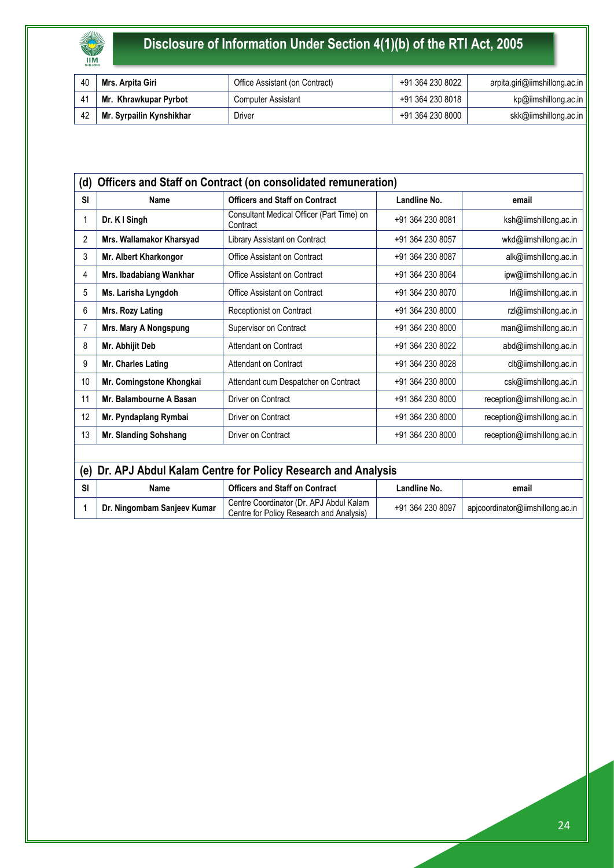# 

# **Disclosure of Information Under Section 4(1)(b) of the RTI Act, 2005**

| Mrs. Arpita Giri         | Office Assistant (on Contract) | +91 364 230 8022 | arpita.giri@iimshillong.ac.in |
|--------------------------|--------------------------------|------------------|-------------------------------|
| Mr. Khrawkupar Pyrbot    | <b>Computer Assistant</b>      | +91 364 230 8018 | $kp@$ iimshillong.ac.in       |
| Mr. Syrpailin Kynshikhar | Driver                         | +91 364 230 8000 | skk@iimshillong.ac.in         |

| (d)            | Officers and Staff on Contract (on consolidated remuneration) |                                                       |                  |                             |  |  |
|----------------|---------------------------------------------------------------|-------------------------------------------------------|------------------|-----------------------------|--|--|
| <b>SI</b>      | <b>Officers and Staff on Contract</b><br>Landline No.<br>Name |                                                       |                  |                             |  |  |
| 1              | Dr. K I Singh                                                 | Consultant Medical Officer (Part Time) on<br>Contract | +91 364 230 8081 | ksh@iimshillong.ac.in       |  |  |
| $\overline{2}$ | Mrs. Wallamakor Kharsyad                                      | Library Assistant on Contract                         | +91 364 230 8057 | wkd@iimshillong.ac.in       |  |  |
| 3              | Mr. Albert Kharkongor                                         | Office Assistant on Contract                          | +91 364 230 8087 | alk@iimshillong.ac.in       |  |  |
| 4              | Mrs. Ibadabiang Wankhar                                       | Office Assistant on Contract                          | +91 364 230 8064 | ipw@iimshillong.ac.in       |  |  |
| 5              | Ms. Larisha Lyngdoh                                           | Office Assistant on Contract                          | +91 364 230 8070 | Irl@iimshillong.ac.in       |  |  |
| 6              | <b>Mrs. Rozy Lating</b>                                       | Receptionist on Contract                              | +91 364 230 8000 | rzl@iimshillong.ac.in       |  |  |
| $\overline{7}$ | Mrs. Mary A Nongspung                                         | Supervisor on Contract                                | +91 364 230 8000 | man@iimshillong.ac.in       |  |  |
| 8              | Mr. Abhijit Deb                                               | Attendant on Contract                                 | +91 364 230 8022 | abd@iimshillong.ac.in       |  |  |
| 9              | Mr. Charles Lating                                            | Attendant on Contract                                 | +91 364 230 8028 | clt@iimshillong.ac.in       |  |  |
| 10             | Mr. Comingstone Khongkai                                      | Attendant cum Despatcher on Contract                  | +91 364 230 8000 | csk@iimshillong.ac.in       |  |  |
| 11             | Mr. Balambourne A Basan                                       | Driver on Contract                                    | +91 364 230 8000 | reception@iimshillong.ac.in |  |  |
| 12             | Mr. Pyndaplang Rymbai                                         | Driver on Contract                                    | +91 364 230 8000 | reception@iimshillong.ac.in |  |  |
| 13             | Mr. Slanding Sohshang                                         | Driver on Contract                                    | +91 364 230 8000 | reception@iimshillong.ac.in |  |  |
|                |                                                               |                                                       |                  |                             |  |  |

|     | (e) Dr. APJ Abdul Kalam Centre for Policy Research and Analysis |                                                                                     |                  |                                  |  |
|-----|-----------------------------------------------------------------|-------------------------------------------------------------------------------------|------------------|----------------------------------|--|
| -SI | Name                                                            | <b>Officers and Staff on Contract</b>                                               | Landline No.     | email                            |  |
|     | Dr. Ningombam Sanjeev Kumar                                     | Centre Coordinator (Dr. APJ Abdul Kalam<br>Centre for Policy Research and Analysis) | +91 364 230 8097 | apicoordinator@iimshillong.ac.in |  |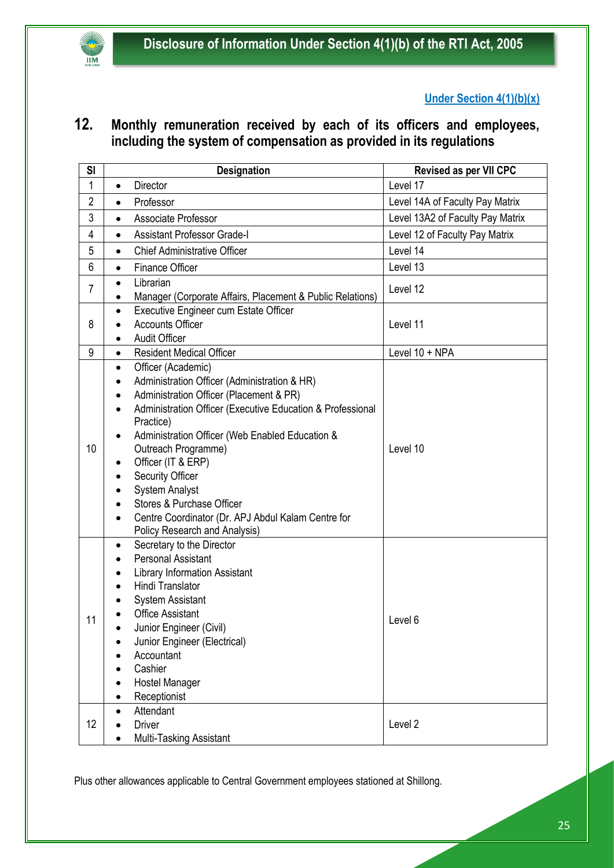## **Under Section 4(1)(b)(x)**

# **12. Monthly remuneration received by each of its officers and employees, including the system of compensation as provided in its regulations**

| <b>SI</b>      | <b>Designation</b>                                                      | <b>Revised as per VII CPC</b>    |
|----------------|-------------------------------------------------------------------------|----------------------------------|
| 1              | Director<br>$\bullet$                                                   | Level 17                         |
| $\overline{2}$ | Professor<br>$\bullet$                                                  | Level 14A of Faculty Pay Matrix  |
| 3              | Associate Professor<br>$\bullet$                                        | Level 13A2 of Faculty Pay Matrix |
| 4              | <b>Assistant Professor Grade-I</b><br>$\bullet$                         | Level 12 of Faculty Pay Matrix   |
| 5              | <b>Chief Administrative Officer</b><br>$\bullet$                        | Level 14                         |
| 6              | <b>Finance Officer</b><br>$\bullet$                                     | Level 13                         |
| $\overline{7}$ | Librarian<br>$\bullet$                                                  | Level 12                         |
|                | Manager (Corporate Affairs, Placement & Public Relations)               |                                  |
|                | Executive Engineer cum Estate Officer<br>٠                              |                                  |
| 8              | <b>Accounts Officer</b><br><b>Audit Officer</b>                         | Level 11                         |
| 9              | ٠<br><b>Resident Medical Officer</b><br>$\bullet$                       | Level 10 + NPA                   |
|                | Officer (Academic)<br>$\bullet$                                         |                                  |
|                | Administration Officer (Administration & HR)                            |                                  |
|                | Administration Officer (Placement & PR)                                 |                                  |
|                | Administration Officer (Executive Education & Professional<br>$\bullet$ |                                  |
|                | Practice)                                                               |                                  |
|                | Administration Officer (Web Enabled Education &                         | Level 10                         |
| 10             | Outreach Programme)<br>Officer (IT & ERP)                               |                                  |
|                | ٠<br><b>Security Officer</b>                                            |                                  |
|                | <b>System Analyst</b>                                                   |                                  |
|                | Stores & Purchase Officer                                               |                                  |
|                | Centre Coordinator (Dr. APJ Abdul Kalam Centre for                      |                                  |
|                | Policy Research and Analysis)                                           |                                  |
|                | Secretary to the Director<br>$\bullet$                                  |                                  |
|                | <b>Personal Assistant</b>                                               |                                  |
|                | <b>Library Information Assistant</b>                                    |                                  |
|                | Hindi Translator                                                        |                                  |
|                | <b>System Assistant</b><br><b>Office Assistant</b>                      |                                  |
| 11             | Junior Engineer (Civil)                                                 | Level 6                          |
|                | Junior Engineer (Electrical)                                            |                                  |
|                | Accountant                                                              |                                  |
|                | Cashier                                                                 |                                  |
|                | Hostel Manager                                                          |                                  |
|                | Receptionist                                                            |                                  |
|                | Attendant                                                               |                                  |
| 12             | <b>Driver</b>                                                           | Level <sub>2</sub>               |
|                | Multi-Tasking Assistant                                                 |                                  |

Plus other allowances applicable to Central Government employees stationed at Shillong.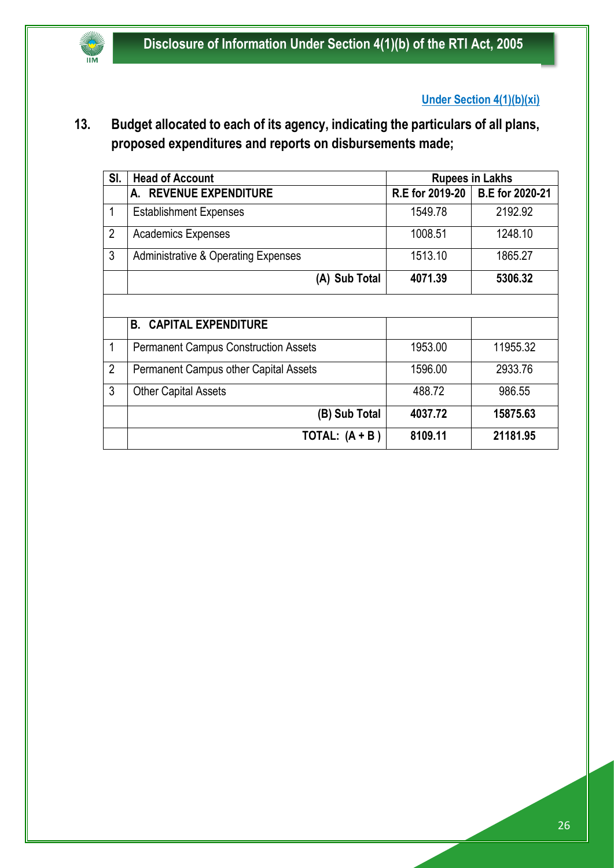$\overline{\text{IIM}}$ 

# **Under Section 4(1)(b)(xi)**

# **13. Budget allocated to each of its agency, indicating the particulars of all plans, proposed expenditures and reports on disbursements made;**

| SI.            | <b>Head of Account</b>                         |                 | <b>Rupees in Lakhs</b> |
|----------------|------------------------------------------------|-----------------|------------------------|
|                | A. REVENUE EXPENDITURE                         | R.E for 2019-20 | <b>B.E</b> for 2020-21 |
| 1              | <b>Establishment Expenses</b>                  | 1549.78         | 2192.92                |
| $\overline{2}$ | <b>Academics Expenses</b>                      | 1008.51         | 1248.10                |
| 3              | <b>Administrative &amp; Operating Expenses</b> | 1513.10         | 1865.27                |
|                | (A) Sub Total                                  | 4071.39         | 5306.32                |
|                |                                                |                 |                        |
|                | <b>B. CAPITAL EXPENDITURE</b>                  |                 |                        |
| 1              | <b>Permanent Campus Construction Assets</b>    | 1953.00         | 11955.32               |
| $\overline{2}$ | Permanent Campus other Capital Assets          | 1596.00         | 2933.76                |
| 3              | <b>Other Capital Assets</b>                    | 488.72          | 986.55                 |
|                | (B) Sub Total                                  | 4037.72         | 15875.63               |
|                | TOTAL: $(A + B)$                               | 8109.11         | 21181.95               |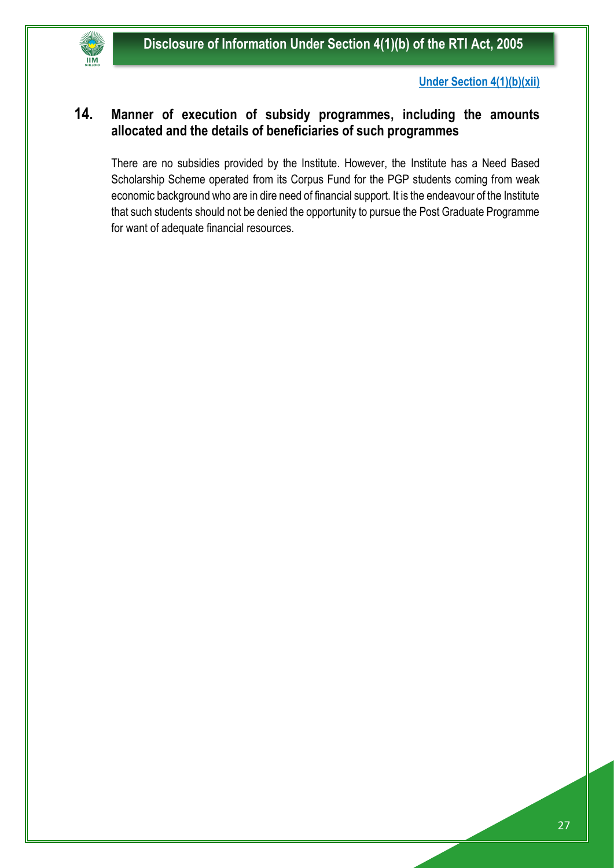

**Under Section 4(1)(b)(xii)**

# **14. Manner of execution of subsidy programmes, including the amounts allocated and the details of beneficiaries of such programmes**

There are no subsidies provided by the Institute. However, the Institute has a Need Based Scholarship Scheme operated from its Corpus Fund for the PGP students coming from weak economic background who are in dire need of financial support. It is the endeavour of the Institute that such students should not be denied the opportunity to pursue the Post Graduate Programme for want of adequate financial resources.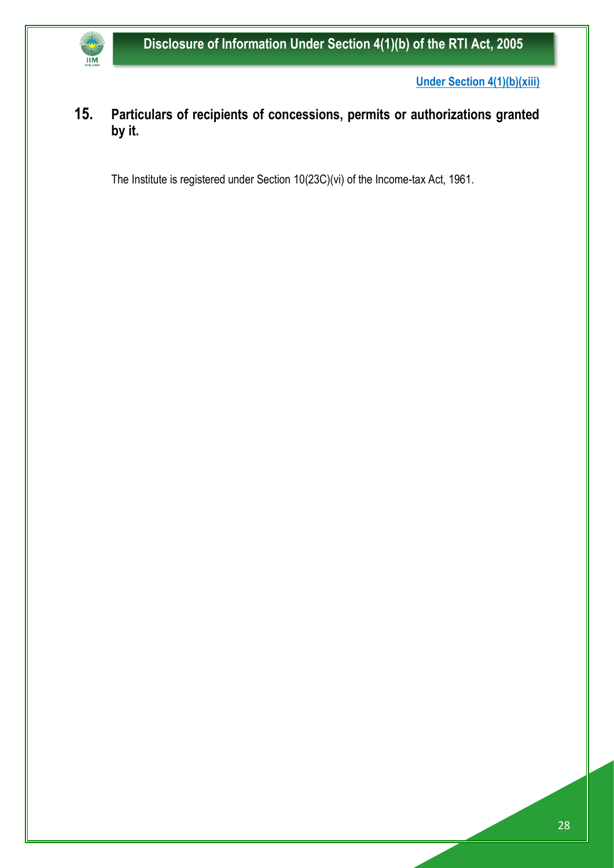

**Under Section 4(1)(b)(xiii)**

**15. Particulars of recipients of concessions, permits or authorizations granted by it.**

The Institute is registered under Section 10(23C)(vi) of the Income-tax Act, 1961.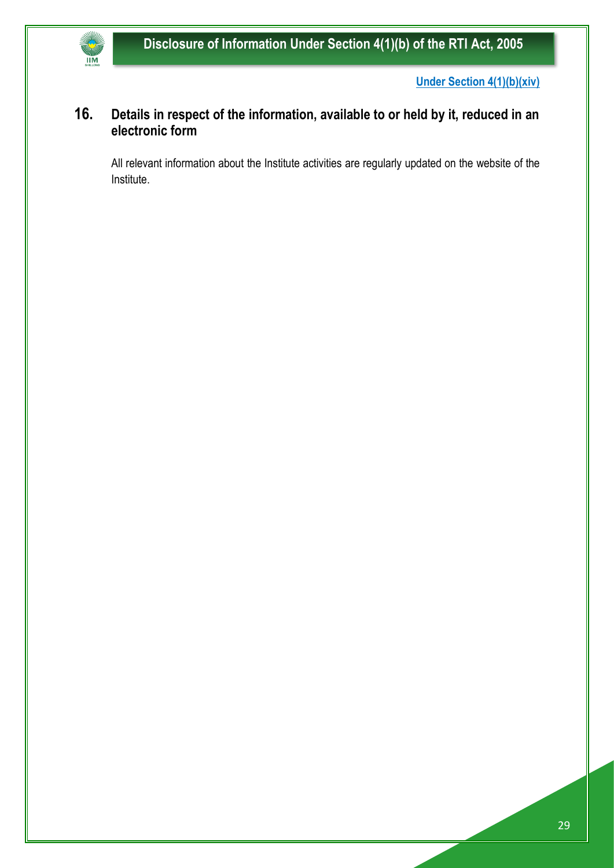**Under Section 4(1)(b)(xiv)**

# **16. Details in respect of the information, available to or held by it, reduced in an electronic form**

All relevant information about the Institute activities are regularly updated on the website of the Institute.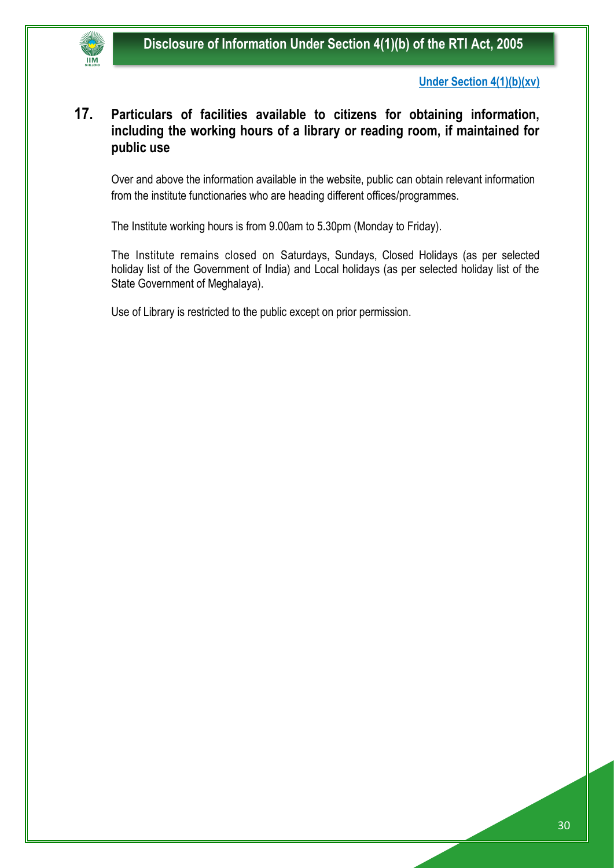

**Under Section 4(1)(b)(xv)**

# **17. Particulars of facilities available to citizens for obtaining information, including the working hours of a library or reading room, if maintained for public use**

Over and above the information available in the website, public can obtain relevant information from the institute functionaries who are heading different offices/programmes.

The Institute working hours is from 9.00am to 5.30pm (Monday to Friday).

The Institute remains closed on Saturdays, Sundays, Closed Holidays (as per selected holiday list of the Government of India) and Local holidays (as per selected holiday list of the State Government of Meghalaya).

Use of Library is restricted to the public except on prior permission.